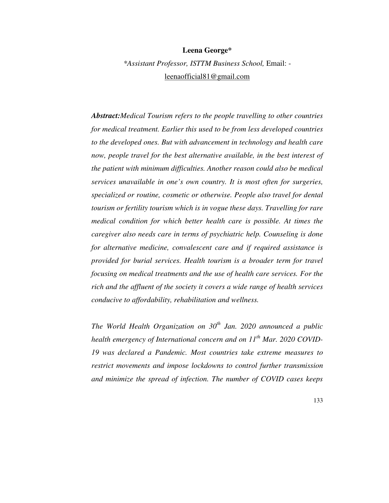### **Leena George\***

*\*Assistant Professor, ISTTM Business School,* Email: leenaofficial81@gmail.com

*Abstract:Medical Tourism refers to the people travelling to other countries for medical treatment. Earlier this used to be from less developed countries to the developed ones. But with advancement in technology and health care now, people travel for the best alternative available, in the best interest of the patient with minimum difficulties. Another reason could also be medical services unavailable in one's own country. It is most often for surgeries, specialized or routine, cosmetic or otherwise. People also travel for dental tourism or fertility tourism which is in vogue these days. Travelling for rare medical condition for which better health care is possible. At times the caregiver also needs care in terms of psychiatric help. Counseling is done for alternative medicine, convalescent care and if required assistance is provided for burial services. Health tourism is a broader term for travel focusing on medical treatments and the use of health care services. For the rich and the affluent of the society it covers a wide range of health services conducive to affordability, rehabilitation and wellness.*

*The World Health Organization on 30th Jan. 2020 announced a public health emergency of International concern and on 11th Mar. 2020 COVID-19 was declared a Pandemic. Most countries take extreme measures to restrict movements and impose lockdowns to control further transmission and minimize the spread of infection. The number of COVID cases keeps*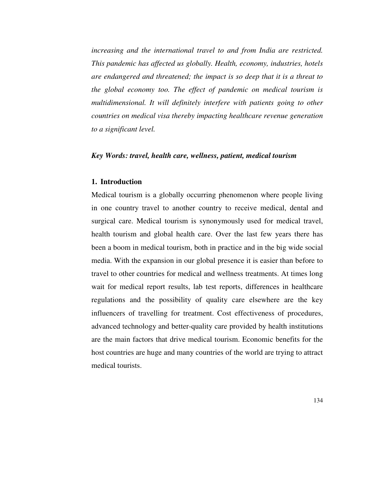*increasing and the international travel to and from India are restricted. This pandemic has affected us globally. Health, economy, industries, hotels are endangered and threatened; the impact is so deep that it is a threat to the global economy too. The effect of pandemic on medical tourism is multidimensional. It will definitely interfere with patients going to other countries on medical visa thereby impacting healthcare revenue generation to a significant level.* 

#### *Key Words: travel, health care, wellness, patient, medical tourism*

# **1. Introduction**

Medical tourism is a globally occurring phenomenon where people living in one country travel to another country to receive medical, dental and surgical care. Medical tourism is synonymously used for medical travel, health tourism and global health care. Over the last few years there has been a boom in medical tourism, both in practice and in the big wide social media. With the expansion in our global presence it is easier than before to travel to other countries for medical and wellness treatments. At times long wait for medical report results, lab test reports, differences in healthcare regulations and the possibility of quality care elsewhere are the key influencers of travelling for treatment. Cost effectiveness of procedures, advanced technology and better-quality care provided by health institutions are the main factors that drive medical tourism. Economic benefits for the host countries are huge and many countries of the world are trying to attract medical tourists.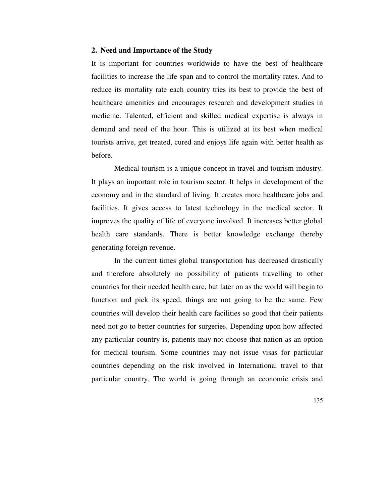### **2. Need and Importance of the Study**

It is important for countries worldwide to have the best of healthcare facilities to increase the life span and to control the mortality rates. And to reduce its mortality rate each country tries its best to provide the best of healthcare amenities and encourages research and development studies in medicine. Talented, efficient and skilled medical expertise is always in demand and need of the hour. This is utilized at its best when medical tourists arrive, get treated, cured and enjoys life again with better health as before.

Medical tourism is a unique concept in travel and tourism industry. It plays an important role in tourism sector. It helps in development of the economy and in the standard of living. It creates more healthcare jobs and facilities. It gives access to latest technology in the medical sector. It improves the quality of life of everyone involved. It increases better global health care standards. There is better knowledge exchange thereby generating foreign revenue.

In the current times global transportation has decreased drastically and therefore absolutely no possibility of patients travelling to other countries for their needed health care, but later on as the world will begin to function and pick its speed, things are not going to be the same. Few countries will develop their health care facilities so good that their patients need not go to better countries for surgeries. Depending upon how affected any particular country is, patients may not choose that nation as an option for medical tourism. Some countries may not issue visas for particular countries depending on the risk involved in International travel to that particular country. The world is going through an economic crisis and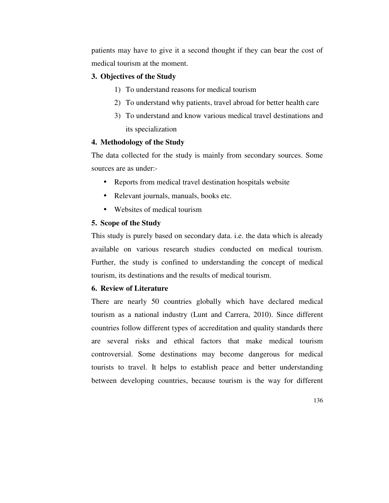patients may have to give it a second thought if they can bear the cost of medical tourism at the moment.

## **3. Objectives of the Study**

- 1) To understand reasons for medical tourism
- 2) To understand why patients, travel abroad for better health care
- 3) To understand and know various medical travel destinations and its specialization

### **4. Methodology of the Study**

The data collected for the study is mainly from secondary sources. Some sources are as under:-

- Reports from medical travel destination hospitals website
- Relevant journals, manuals, books etc.
- Websites of medical tourism

## **5. Scope of the Study**

This study is purely based on secondary data. i.e. the data which is already available on various research studies conducted on medical tourism. Further, the study is confined to understanding the concept of medical tourism, its destinations and the results of medical tourism.

## **6. Review of Literature**

There are nearly 50 countries globally which have declared medical tourism as a national industry (Lunt and Carrera, 2010). Since different countries follow different types of accreditation and quality standards there are several risks and ethical factors that make medical tourism controversial. Some destinations may become dangerous for medical tourists to travel. It helps to establish peace and better understanding between developing countries, because tourism is the way for different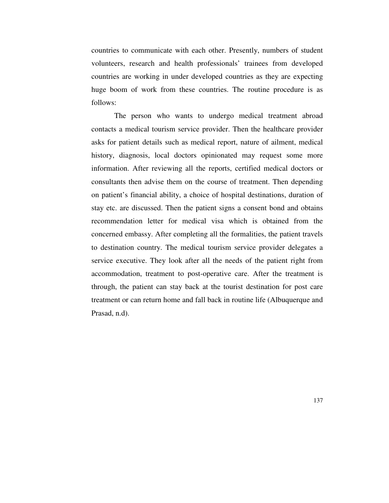countries to communicate with each other. Presently, numbers of student volunteers, research and health professionals' trainees from developed countries are working in under developed countries as they are expecting huge boom of work from these countries. The routine procedure is as follows:

The person who wants to undergo medical treatment abroad contacts a medical tourism service provider. Then the healthcare provider asks for patient details such as medical report, nature of ailment, medical history, diagnosis, local doctors opinionated may request some more information. After reviewing all the reports, certified medical doctors or consultants then advise them on the course of treatment. Then depending on patient's financial ability, a choice of hospital destinations, duration of stay etc. are discussed. Then the patient signs a consent bond and obtains recommendation letter for medical visa which is obtained from the concerned embassy. After completing all the formalities, the patient travels to destination country. The medical tourism service provider delegates a service executive. They look after all the needs of the patient right from accommodation, treatment to post-operative care. After the treatment is through, the patient can stay back at the tourist destination for post care treatment or can return home and fall back in routine life (Albuquerque and Prasad, n.d).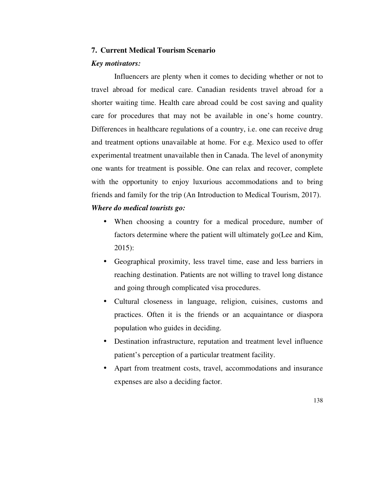## **7. Current Medical Tourism Scenario**

#### *Key motivators:*

Influencers are plenty when it comes to deciding whether or not to travel abroad for medical care. Canadian residents travel abroad for a shorter waiting time. Health care abroad could be cost saving and quality care for procedures that may not be available in one's home country. Differences in healthcare regulations of a country, i.e. one can receive drug and treatment options unavailable at home. For e.g. Mexico used to offer experimental treatment unavailable then in Canada. The level of anonymity one wants for treatment is possible. One can relax and recover, complete with the opportunity to enjoy luxurious accommodations and to bring friends and family for the trip (An Introduction to Medical Tourism, 2017).

# *Where do medical tourists go:*

- When choosing a country for a medical procedure, number of factors determine where the patient will ultimately go(Lee and Kim, 2015):
- Geographical proximity, less travel time, ease and less barriers in reaching destination. Patients are not willing to travel long distance and going through complicated visa procedures.
- Cultural closeness in language, religion, cuisines, customs and practices. Often it is the friends or an acquaintance or diaspora population who guides in deciding.
- Destination infrastructure, reputation and treatment level influence patient's perception of a particular treatment facility.
- Apart from treatment costs, travel, accommodations and insurance expenses are also a deciding factor.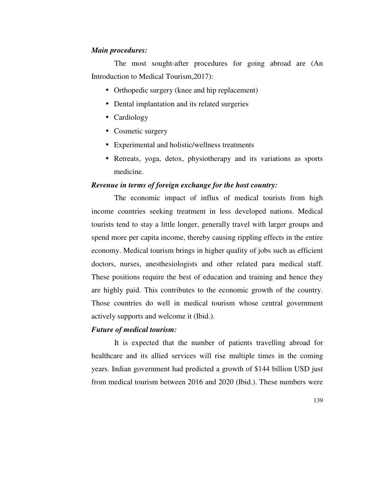## *Main procedures:*

The most sought-after procedures for going abroad are (An Introduction to Medical Tourism,2017):

- Orthopedic surgery (knee and hip replacement)
- Dental implantation and its related surgeries
- Cardiology
- Cosmetic surgery
- Experimental and holistic/wellness treatments
- Retreats, yoga, detox, physiotherapy and its variations as sports medicine.

# *Revenue in terms of foreign exchange for the host country:*

The economic impact of influx of medical tourists from high income countries seeking treatment in less developed nations. Medical tourists tend to stay a little longer, generally travel with larger groups and spend more per capita income, thereby causing rippling effects in the entire economy. Medical tourism brings in higher quality of jobs such as efficient doctors, nurses, anesthesiologists and other related para medical staff. These positions require the best of education and training and hence they are highly paid. This contributes to the economic growth of the country. Those countries do well in medical tourism whose central government actively supports and welcome it (Ibid.).

### *Future of medical tourism:*

It is expected that the number of patients travelling abroad for healthcare and its allied services will rise multiple times in the coming years. Indian government had predicted a growth of \$144 billion USD just from medical tourism between 2016 and 2020 (Ibid.). These numbers were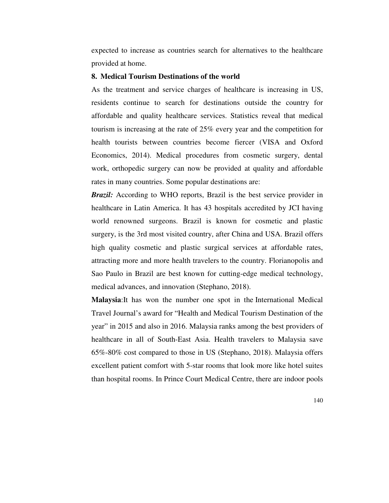expected to increase as countries search for alternatives to the healthcare provided at home.

# **8. Medical Tourism Destinations of the world**

As the treatment and service charges of healthcare is increasing in US, residents continue to search for destinations outside the country for affordable and quality healthcare services. Statistics reveal that medical tourism is increasing at the rate of 25% every year and the competition for health tourists between countries become fiercer (VISA and Oxford Economics, 2014). Medical procedures from cosmetic surgery, dental work, orthopedic surgery can now be provided at quality and affordable rates in many countries. Some popular destinations are:

*Brazil:* According to WHO reports, Brazil is the best service provider in healthcare in Latin America. It has 43 hospitals accredited by JCI having world renowned surgeons. Brazil is known for cosmetic and plastic surgery, is the 3rd most visited country, after China and USA. Brazil offers high quality cosmetic and plastic surgical services at affordable rates, attracting more and more health travelers to the country. Florianopolis and Sao Paulo in Brazil are best known for cutting-edge medical technology, medical advances, and innovation (Stephano, 2018).

**Malaysia**:It has won the number one spot in the International Medical Travel Journal's award for "Health and Medical Tourism Destination of the year" in 2015 and also in 2016. Malaysia ranks among the best providers of healthcare in all of South-East Asia. Health travelers to Malaysia save 65%-80% cost compared to those in US (Stephano, 2018). Malaysia offers excellent patient comfort with 5-star rooms that look more like hotel suites than hospital rooms. In Prince Court Medical Centre, there are indoor pools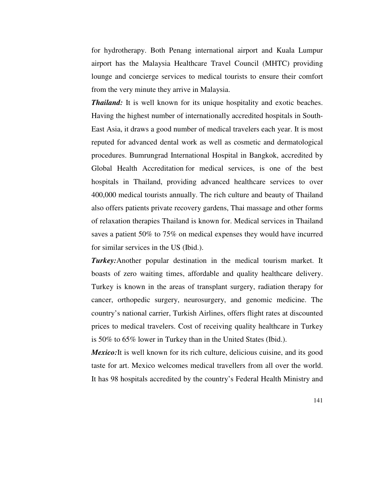for hydrotherapy. Both Penang international airport and Kuala Lumpur airport has the Malaysia Healthcare Travel Council (MHTC) providing lounge and concierge services to medical tourists to ensure their comfort from the very minute they arrive in Malaysia.

*Thailand:* It is well known for its unique hospitality and exotic beaches. Having the highest number of internationally accredited hospitals in South-East Asia, it draws a good number of medical travelers each year. It is most reputed for advanced dental work as well as cosmetic and dermatological procedures. Bumrungrad International Hospital in Bangkok, accredited by Global Health Accreditation for medical services, is one of the best hospitals in Thailand, providing advanced healthcare services to over 400,000 medical tourists annually. The rich culture and beauty of Thailand also offers patients private recovery gardens, Thai massage and other forms of relaxation therapies Thailand is known for. Medical services in Thailand saves a patient 50% to 75% on medical expenses they would have incurred for similar services in the US (Ibid.).

*Turkey:*Another popular destination in the medical tourism market. It boasts of zero waiting times, affordable and quality healthcare delivery. Turkey is known in the areas of transplant surgery, radiation therapy for cancer, orthopedic surgery, neurosurgery, and genomic medicine. The country's national carrier, Turkish Airlines, offers flight rates at discounted prices to medical travelers. Cost of receiving quality healthcare in Turkey is 50% to 65% lower in Turkey than in the United States (Ibid.).

*Mexico:*It is well known for its rich culture, delicious cuisine, and its good taste for art. Mexico welcomes medical travellers from all over the world. It has 98 hospitals accredited by the country's Federal Health Ministry and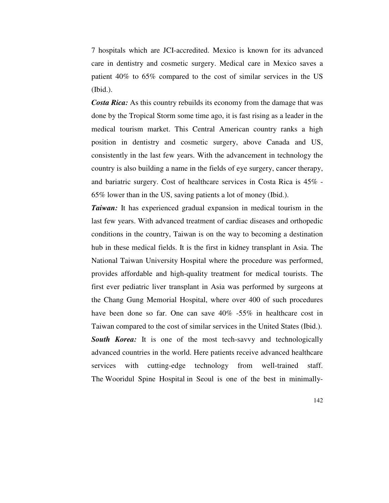7 hospitals which are JCI-accredited. Mexico is known for its advanced care in dentistry and cosmetic surgery. Medical care in Mexico saves a patient 40% to 65% compared to the cost of similar services in the US (Ibid.).

*Costa Rica:* As this country rebuilds its economy from the damage that was done by the Tropical Storm some time ago, it is fast rising as a leader in the medical tourism market. This Central American country ranks a high position in dentistry and cosmetic surgery, above Canada and US, consistently in the last few years. With the advancement in technology the country is also building a name in the fields of eye surgery, cancer therapy, and bariatric surgery. Cost of healthcare services in Costa Rica is 45% - 65% lower than in the US, saving patients a lot of money (Ibid.).

*Taiwan:* It has experienced gradual expansion in medical tourism in the last few years. With advanced treatment of cardiac diseases and orthopedic conditions in the country, Taiwan is on the way to becoming a destination hub in these medical fields. It is the first in kidney transplant in Asia. The National Taiwan University Hospital where the procedure was performed, provides affordable and high-quality treatment for medical tourists. The first ever pediatric liver transplant in Asia was performed by surgeons at the Chang Gung Memorial Hospital, where over 400 of such procedures have been done so far. One can save  $40\%$  -55% in healthcare cost in Taiwan compared to the cost of similar services in the United States (Ibid.). **South Korea:** It is one of the most tech-savvy and technologically advanced countries in the world. Here patients receive advanced healthcare services with cutting-edge technology from well-trained staff. The Wooridul Spine Hospital in Seoul is one of the best in minimally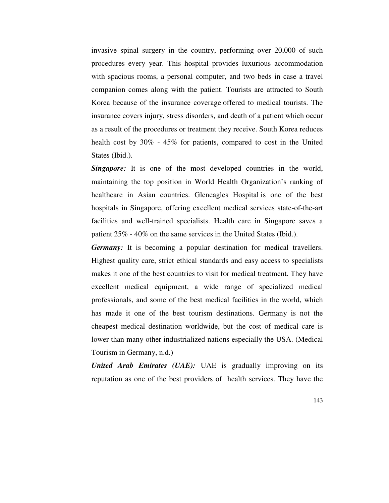invasive spinal surgery in the country, performing over 20,000 of such procedures every year. This hospital provides luxurious accommodation with spacious rooms, a personal computer, and two beds in case a travel companion comes along with the patient. Tourists are attracted to South Korea because of the insurance coverage offered to medical tourists. The insurance covers injury, stress disorders, and death of a patient which occur as a result of the procedures or treatment they receive. South Korea reduces health cost by 30% - 45% for patients, compared to cost in the United States (Ibid.).

**Singapore:** It is one of the most developed countries in the world, maintaining the top position in World Health Organization's ranking of healthcare in Asian countries. Gleneagles Hospital is one of the best hospitals in Singapore, offering excellent medical services state-of-the-art facilities and well-trained specialists. Health care in Singapore saves a patient 25% - 40% on the same services in the United States (Ibid.).

*Germany:* It is becoming a popular destination for medical travellers. Highest quality care, strict ethical standards and easy access to specialists makes it one of the best countries to visit for medical treatment. They have excellent medical equipment, a wide range of specialized medical professionals, and some of the best medical facilities in the world, which has made it one of the best tourism destinations. Germany is not the cheapest medical destination worldwide, but the cost of medical care is lower than many other industrialized nations especially the USA. (Medical Tourism in Germany, n.d.)

*United Arab Emirates (UAE):* UAE is gradually improving on its reputation as one of the best providers of health services. They have the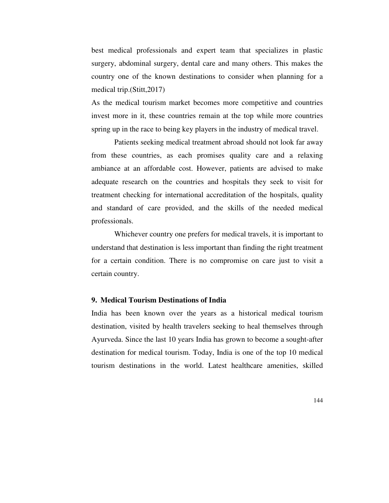best medical professionals and expert team that specializes in plastic surgery, abdominal surgery, dental care and many others. This makes the country one of the known destinations to consider when planning for a medical trip.(Stitt,2017)

As the medical tourism market becomes more competitive and countries invest more in it, these countries remain at the top while more countries spring up in the race to being key players in the industry of medical travel.

Patients seeking medical treatment abroad should not look far away from these countries, as each promises quality care and a relaxing ambiance at an affordable cost. However, patients are advised to make adequate research on the countries and hospitals they seek to visit for treatment checking for international accreditation of the hospitals, quality and standard of care provided, and the skills of the needed medical professionals.

Whichever country one prefers for medical travels, it is important to understand that destination is less important than finding the right treatment for a certain condition. There is no compromise on care just to visit a certain country.

### **9. Medical Tourism Destinations of India**

India has been known over the years as a historical medical tourism destination, visited by health travelers seeking to heal themselves through Ayurveda. Since the last 10 years India has grown to become a sought-after destination for medical tourism. Today, India is one of the top 10 medical tourism destinations in the world. Latest healthcare amenities, skilled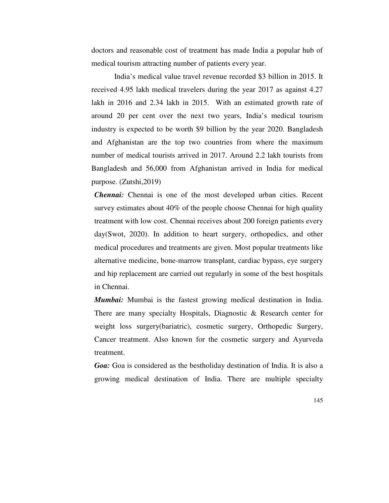doctors and reasonable cost of treatment has made India a popular hub of medical tourism attracting number of patients every year.

India's medical value travel revenue recorded \$3 billion in 2015. It received 4.95 lakh medical travelers during the year 2017 as against 4.27 lakh in 2016 and 2.34 lakh in 2015. With an estimated growth rate of around 20 per cent over the next two years, India's medical tourism industry is expected to be worth \$9 billion by the year 2020. Bangladesh and Afghanistan are the top two countries from where the maximum number of medical tourists arrived in 2017. Around 2.2 lakh tourists from Bangladesh and 56,000 from Afghanistan arrived in India for medical purpose. (Zutshi,2019)

*Chennai:* Chennai is one of the most developed urban cities. Recent survey estimates about 40% of the people choose Chennai for high quality treatment with low cost. Chennai receives about 200 foreign patients every day(Swot, 2020). In addition to heart surgery, orthopedics, and other medical procedures and treatments are given. Most popular treatments like alternative medicine, bone-marrow transplant, cardiac bypass, eye surgery and hip replacement are carried out regularly in some of the best hospitals in Chennai.

*Mumbai:* Mumbai is the fastest growing medical destination in India. There are many specialty Hospitals, Diagnostic & Research center for weight loss surgery(bariatric), cosmetic surgery, Orthopedic Surgery, Cancer treatment. Also known for the cosmetic surgery and Ayurveda treatment.

*Goa:* Goa is considered as the bestholiday destination of India. It is also a growing medical destination of India. There are multiple specialty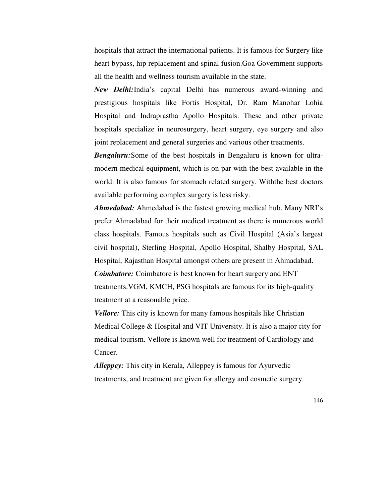hospitals that attract the international patients. It is famous for Surgery like heart bypass, hip replacement and spinal fusion.Goa Government supports all the health and wellness tourism available in the state.

*New Delhi:*India's capital Delhi has numerous award-winning and prestigious hospitals like Fortis Hospital, Dr. Ram Manohar Lohia Hospital and Indraprastha Apollo Hospitals. These and other private hospitals specialize in neurosurgery, heart surgery, eye surgery and also joint replacement and general surgeries and various other treatments.

*Bengaluru:*Some of the best hospitals in Bengaluru is known for ultramodern medical equipment, which is on par with the best available in the world. It is also famous for stomach related surgery. Withthe best doctors available performing complex surgery is less risky.

*Ahmedabad:* Ahmedabad is the fastest growing medical hub. Many NRI's prefer Ahmadabad for their medical treatment as there is numerous world class hospitals. Famous hospitals such as Civil Hospital (Asia's largest civil hospital), Sterling Hospital, Apollo Hospital, Shalby Hospital, SAL Hospital, Rajasthan Hospital amongst others are present in Ahmadabad. *Coimbatore:* Coimbatore is best known for heart surgery and ENT treatments.VGM, KMCH, PSG hospitals are famous for its high-quality treatment at a reasonable price.

*Vellore:* This city is known for many famous hospitals like Christian Medical College & Hospital and VIT University. It is also a major city for medical tourism. Vellore is known well for treatment of Cardiology and Cancer.

*Alleppey:* This city in Kerala, Alleppey is famous for Ayurvedic treatments, and treatment are given for allergy and cosmetic surgery.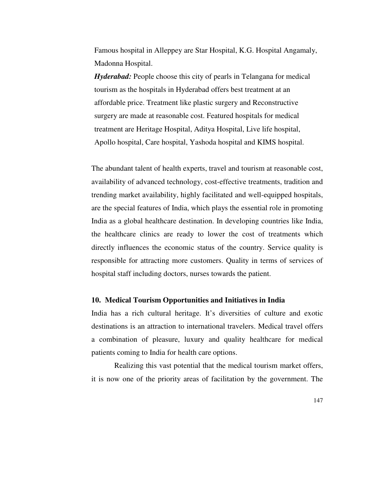Famous hospital in Alleppey are Star Hospital, K.G. Hospital Angamaly, Madonna Hospital.

*Hyderabad:* People choose this city of pearls in Telangana for medical tourism as the hospitals in Hyderabad offers best treatment at an affordable price. Treatment like plastic surgery and Reconstructive surgery are made at reasonable cost. Featured hospitals for medical treatment are Heritage Hospital, Aditya Hospital, Live life hospital, Apollo hospital, Care hospital, Yashoda hospital and KIMS hospital.

The abundant talent of health experts, travel and tourism at reasonable cost, availability of advanced technology, cost-effective treatments, tradition and trending market availability, highly facilitated and well-equipped hospitals, are the special features of India, which plays the essential role in promoting India as a global healthcare destination. In developing countries like India, the healthcare clinics are ready to lower the cost of treatments which directly influences the economic status of the country. Service quality is responsible for attracting more customers. Quality in terms of services of hospital staff including doctors, nurses towards the patient.

## **10. Medical Tourism Opportunities and Initiatives in India**

India has a rich cultural heritage. It's diversities of culture and exotic destinations is an attraction to international travelers. Medical travel offers a combination of pleasure, luxury and quality healthcare for medical patients coming to India for health care options.

Realizing this vast potential that the medical tourism market offers, it is now one of the priority areas of facilitation by the government. The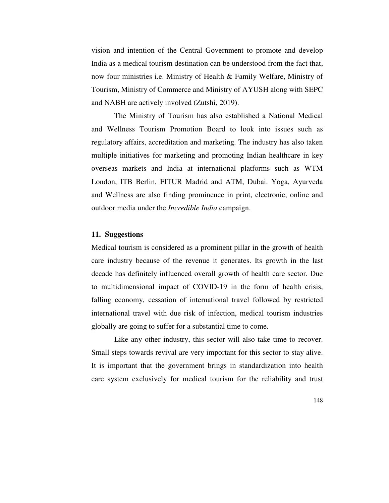vision and intention of the Central Government to promote and develop India as a medical tourism destination can be understood from the fact that, now four ministries i.e. Ministry of Health & Family Welfare, Ministry of Tourism, Ministry of Commerce and Ministry of AYUSH along with SEPC and NABH are actively involved (Zutshi, 2019).

The Ministry of Tourism has also established a National Medical and Wellness Tourism Promotion Board to look into issues such as regulatory affairs, accreditation and marketing. The industry has also taken multiple initiatives for marketing and promoting Indian healthcare in key overseas markets and India at international platforms such as WTM London, ITB Berlin, FITUR Madrid and ATM, Dubai. Yoga, Ayurveda and Wellness are also finding prominence in print, electronic, online and outdoor media under the *Incredible India* campaign.

## **11. Suggestions**

Medical tourism is considered as a prominent pillar in the growth of health care industry because of the revenue it generates. Its growth in the last decade has definitely influenced overall growth of health care sector. Due to multidimensional impact of COVID-19 in the form of health crisis, falling economy, cessation of international travel followed by restricted international travel with due risk of infection, medical tourism industries globally are going to suffer for a substantial time to come.

Like any other industry, this sector will also take time to recover. Small steps towards revival are very important for this sector to stay alive. It is important that the government brings in standardization into health care system exclusively for medical tourism for the reliability and trust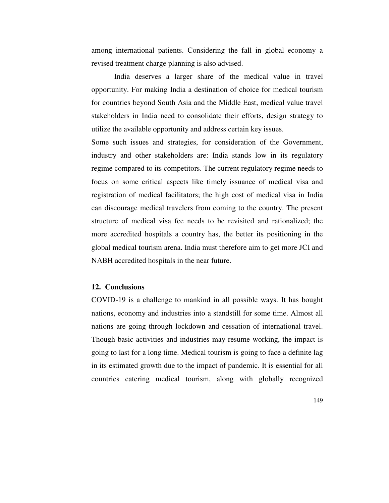among international patients. Considering the fall in global economy a revised treatment charge planning is also advised.

India deserves a larger share of the medical value in travel opportunity. For making India a destination of choice for medical tourism for countries beyond South Asia and the Middle East, medical value travel stakeholders in India need to consolidate their efforts, design strategy to utilize the available opportunity and address certain key issues.

Some such issues and strategies, for consideration of the Government, industry and other stakeholders are: India stands low in its regulatory regime compared to its competitors. The current regulatory regime needs to focus on some critical aspects like timely issuance of medical visa and registration of medical facilitators; the high cost of medical visa in India can discourage medical travelers from coming to the country. The present structure of medical visa fee needs to be revisited and rationalized; the more accredited hospitals a country has, the better its positioning in the global medical tourism arena. India must therefore aim to get more JCI and NABH accredited hospitals in the near future.

## **12. Conclusions**

COVID-19 is a challenge to mankind in all possible ways. It has bought nations, economy and industries into a standstill for some time. Almost all nations are going through lockdown and cessation of international travel. Though basic activities and industries may resume working, the impact is going to last for a long time. Medical tourism is going to face a definite lag in its estimated growth due to the impact of pandemic. It is essential for all countries catering medical tourism, along with globally recognized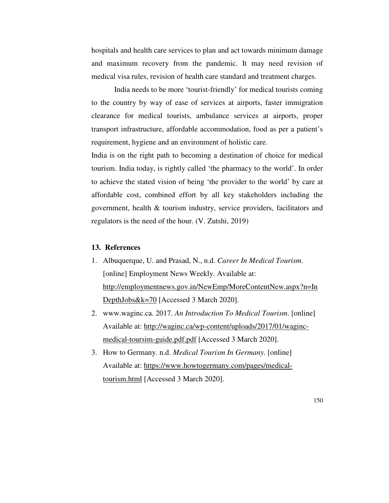hospitals and health care services to plan and act towards minimum damage and maximum recovery from the pandemic. It may need revision of medical visa rules, revision of health care standard and treatment charges.

India needs to be more 'tourist-friendly' for medical tourists coming to the country by way of ease of services at airports, faster immigration clearance for medical tourists, ambulance services at airports, proper transport infrastructure, affordable accommodation, food as per a patient's requirement, hygiene and an environment of holistic care.

India is on the right path to becoming a destination of choice for medical tourism. India today, is rightly called 'the pharmacy to the world'. In order to achieve the stated vision of being 'the provider to the world' by care at affordable cost, combined effort by all key stakeholders including the government, health & tourism industry, service providers, facilitators and regulators is the need of the hour. (V. Zutshi, 2019)

# **13. References**

- 1. Albuquerque, U. and Prasad, N., n.d. *Career In Medical Tourism*. [online] Employment News Weekly. Available at: http://employmentnews.gov.in/NewEmp/MoreContentNew.aspx?n=In DepthJobs&k=70 [Accessed 3 March 2020].
- 2. www.waginc.ca. 2017. *An Introduction To Medical Tourism*. [online] Available at: http://waginc.ca/wp-content/uploads/2017/01/wagincmedical-toursim-guide.pdf.pdf [Accessed 3 March 2020].
- 3. How to Germany. n.d. *Medical Tourism In Germany*. [online] Available at: https://www.howtogermany.com/pages/medicaltourism.html [Accessed 3 March 2020].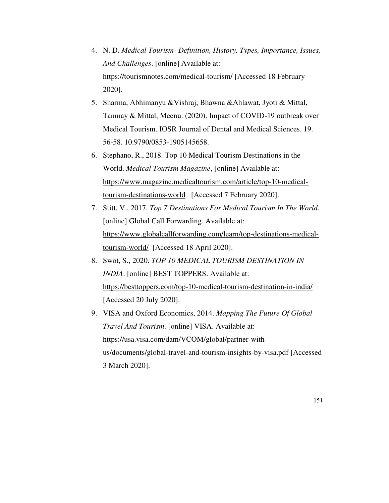- 4. N. D. *Medical Tourism- Definition, History, Types, Importance, Issues, And Challenges*. [online] Available at: https://tourismnotes.com/medical-tourism/ [Accessed 18 February 2020].
- 5. Sharma, Abhimanyu &Vishraj, Bhawna &Ahlawat, Jyoti & Mittal, Tanmay & Mittal, Meenu. (2020). Impact of COVID-19 outbreak over Medical Tourism. IOSR Journal of Dental and Medical Sciences. 19. 56-58. 10.9790/0853-1905145658.
- 6. Stephano, R., 2018. Top 10 Medical Tourism Destinations in the World. *Medical Tourism Magazine*, [online] Available at: https://www.magazine.medicaltourism.com/article/top-10-medicaltourism-destinations-world [Accessed 7 February 2020].
- 7. Stitt, V., 2017. *Top 7 Destinations For Medical Tourism In The World*. [online] Global Call Forwarding. Available at: https://www.globalcallforwarding.com/learn/top-destinations-medicaltourism-world/ [Accessed 18 April 2020].
- 8. Swot, S., 2020. *TOP 10 MEDICAL TOURISM DESTINATION IN INDIA*. [online] BEST TOPPERS. Available at: https://besttoppers.com/top-10-medical-tourism-destination-in-india/ [Accessed 20 July 2020].
- 9. VISA and Oxford Economics, 2014. *Mapping The Future Of Global Travel And Tourism*. [online] VISA. Available at: https://usa.visa.com/dam/VCOM/global/partner-withus/documents/global-travel-and-tourism-insights-by-visa.pdf [Accessed 3 March 2020].